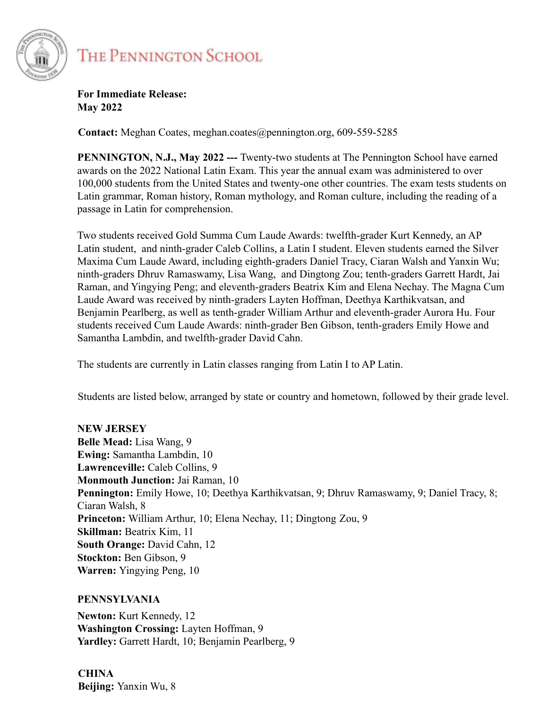

## THE PENNINGTON SCHOOL

**For Immediate Release: May 2022**

**Contact:** Meghan Coates, meghan.coates@pennington.org, 609-559-5285

**PENNINGTON, N.J., May 2022 ---** Twenty-two students at The Pennington School have earned awards on the 2022 National Latin Exam. This year the annual exam was administered to over 100,000 students from the United States and twenty-one other countries. The exam tests students on Latin grammar, Roman history, Roman mythology, and Roman culture, including the reading of a passage in Latin for comprehension.

Two students received Gold Summa Cum Laude Awards: twelfth-grader Kurt Kennedy, an AP Latin student, and ninth-grader Caleb Collins, a Latin I student. Eleven students earned the Silver Maxima Cum Laude Award, including eighth-graders Daniel Tracy, Ciaran Walsh and Yanxin Wu; ninth-graders Dhruv Ramaswamy, Lisa Wang, and Dingtong Zou; tenth-graders Garrett Hardt, Jai Raman, and Yingying Peng; and eleventh-graders Beatrix Kim and Elena Nechay. The Magna Cum Laude Award was received by ninth-graders Layten Hoffman, Deethya Karthikvatsan, and Benjamin Pearlberg, as well as tenth-grader William Arthur and eleventh-grader Aurora Hu. Four students received Cum Laude Awards: ninth-grader Ben Gibson, tenth-graders Emily Howe and Samantha Lambdin, and twelfth-grader David Cahn.

The students are currently in Latin classes ranging from Latin I to AP Latin.

Students are listed below, arranged by state or country and hometown, followed by their grade level.

**NEW JERSEY Belle Mead:** Lisa Wang, 9 **Ewing:** Samantha Lambdin, 10 **Lawrenceville:** Caleb Collins, 9 **Monmouth Junction:** Jai Raman, 10 **Pennington:** Emily Howe, 10; Deethya Karthikvatsan, 9; Dhruv Ramaswamy, 9; Daniel Tracy, 8; Ciaran Walsh, 8 **Princeton:** William Arthur, 10; Elena Nechay, 11; Dingtong Zou, 9 **Skillman:** Beatrix Kim, 11 **South Orange:** David Cahn, 12 **Stockton:** Ben Gibson, 9 **Warren:** Yingying Peng, 10

## **PENNSYLVANIA**

**Newton:** Kurt Kennedy, 12 **Washington Crossing:** Layten Hoffman, 9 **Yardley:** Garrett Hardt, 10; Benjamin Pearlberg, 9

**CHINA Beijing:** Yanxin Wu, 8